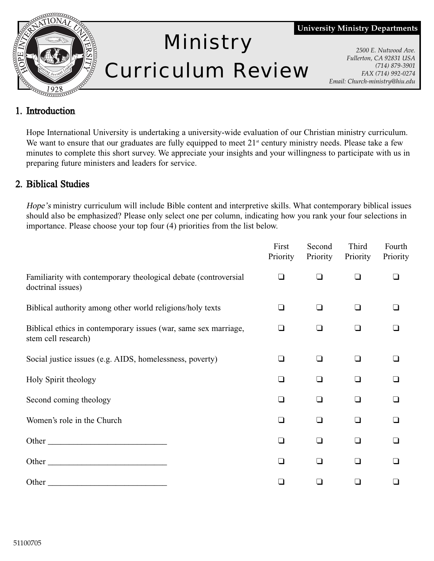

# Ministry Curriculum Review

**University Ministry Departments**

*2500 E. Nutwood Ave. Fullerton, CA 92831 USA (714) 879-3901 FAX (714) 992-0274 Email: Church-ministry@hiu.edu*

## 1. Introduction

Hope International University is undertaking a university-wide evaluation of our Christian ministry curriculum. We want to ensure that our graduates are fully equipped to meet  $21<sup>st</sup>$  century ministry needs. Please take a few minutes to complete this short survey. We appreciate your insights and your willingness to participate with us in preparing future ministers and leaders for service.

## 2. Biblical Studies

Hope's ministry curriculum will include Bible content and interpretive skills. What contemporary biblical issues should also be emphasized? Please only select one per column, indicating how you rank your four selections in importance. Please choose your top four (4) priorities from the list below.

|                                                                                                                                                                                                                                | First<br>Priority | Second<br>Priority | Third<br>Priority | Fourth<br>Priority |
|--------------------------------------------------------------------------------------------------------------------------------------------------------------------------------------------------------------------------------|-------------------|--------------------|-------------------|--------------------|
| Familiarity with contemporary theological debate (controversial<br>doctrinal issues)                                                                                                                                           | $\Box$            | H                  | n                 |                    |
| Biblical authority among other world religions/holy texts                                                                                                                                                                      | ∩                 | ∣ 1                | - 1               |                    |
| Biblical ethics in contemporary issues (war, same sex marriage,<br>stem cell research)                                                                                                                                         | ◻                 | ∣ 1                | n                 |                    |
| Social justice issues (e.g. AIDS, homelessness, poverty)                                                                                                                                                                       | ப                 | I                  | $\blacksquare$    |                    |
| Holy Spirit theology                                                                                                                                                                                                           | $\Box$            | ∣ 1                | n                 |                    |
| Second coming theology                                                                                                                                                                                                         | n                 | ∩                  | n                 |                    |
| Women's role in the Church                                                                                                                                                                                                     | n                 |                    | n                 |                    |
| Other                                                                                                                                                                                                                          | n                 | $\Box$             | $\Box$            |                    |
| Other                                                                                                                                                                                                                          | ∩                 | $\Box$             | ∩                 |                    |
| Other contracts and the contract of the contract of the contract of the contract of the contract of the contract of the contract of the contract of the contract of the contract of the contract of the contract of the contra |                   |                    |                   |                    |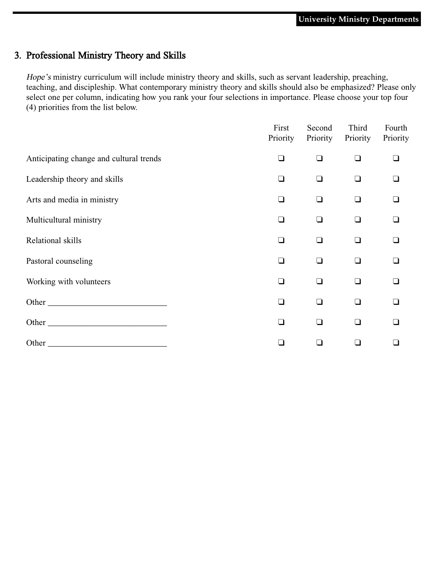## 3. Professional Ministry Theory and Skills

Hope's ministry curriculum will include ministry theory and skills, such as servant leadership, preaching, teaching, and discipleship. What contemporary ministry theory and skills should also be emphasized? Please only select one per column, indicating how you rank your four selections in importance. Please choose your top four (4) priorities from the list below.

|                                         | First<br>Priority | Second<br>Priority | Third<br>Priority | Fourth<br>Priority |
|-----------------------------------------|-------------------|--------------------|-------------------|--------------------|
| Anticipating change and cultural trends | n                 | ❏                  | $\Box$            | ❏                  |
| Leadership theory and skills            | $\Box$            | ❏                  | $\Box$            | $\Box$             |
| Arts and media in ministry              | $\blacksquare$    | ⊔                  | $\Box$            | $\Box$             |
| Multicultural ministry                  | n                 | □                  | $\Box$            | $\Box$             |
| Relational skills                       | n                 | $\Box$             | $\Box$            | $\Box$             |
| Pastoral counseling                     | l I               | ப                  | $\Box$            | $\Box$             |
| Working with volunteers                 | n                 | $\Box$             | $\Box$            | $\Box$             |
| Other                                   | ∣ 1               | $\Box$             | ∩                 | ❏                  |
| Other                                   | $\Box$            | ❏                  | $\Box$            | $\Box$             |
|                                         |                   |                    | ∩                 |                    |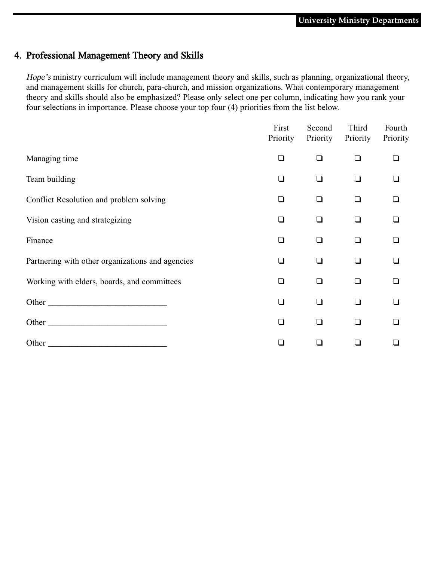#### 4. Professional Management Theory and Skills

Hope's ministry curriculum will include management theory and skills, such as planning, organizational theory, and management skills for church, para-church, and mission organizations. What contemporary management theory and skills should also be emphasized? Please only select one per column, indicating how you rank your four selections in importance. Please choose your top four (4) priorities from the list below.

|                                                                                                                                                                                                                                      | First<br>Priority | Second<br>Priority | Third<br>Priority | Fourth<br>Priority       |
|--------------------------------------------------------------------------------------------------------------------------------------------------------------------------------------------------------------------------------------|-------------------|--------------------|-------------------|--------------------------|
| Managing time                                                                                                                                                                                                                        | n                 | □                  | $\Box$            | ∣ 1                      |
| Team building                                                                                                                                                                                                                        | n                 | ❏                  | $\Box$            | $\overline{\phantom{a}}$ |
| Conflict Resolution and problem solving                                                                                                                                                                                              | n                 | $\Box$             | $\Box$            |                          |
| Vision casting and strategizing                                                                                                                                                                                                      | n                 | □                  | $\Box$            | ∩                        |
| Finance                                                                                                                                                                                                                              | n                 | ❏                  | ∩                 | n                        |
| Partnering with other organizations and agencies                                                                                                                                                                                     | $\Box$            | $\Box$             | $\Box$            | ◻                        |
| Working with elders, boards, and committees                                                                                                                                                                                          | ∩                 | $\Box$             | $\Box$            | ∩                        |
| Other                                                                                                                                                                                                                                | n                 | ❏                  | ∩                 |                          |
| Other <u>the contract of the contract of the contract of the contract of the contract of the contract of the contract of the contract of the contract of the contract of the contract of the contract of the contract of the con</u> | n                 | ❏                  | $\Box$            | n                        |
| Other $\overline{\phantom{a}}$                                                                                                                                                                                                       |                   |                    | $\Box$            |                          |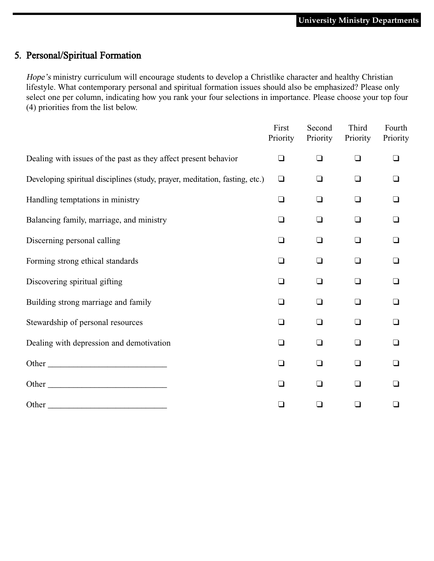#### 5. Personal/Spiritual Formation

Hope's ministry curriculum will encourage students to develop a Christlike character and healthy Christian lifestyle. What contemporary personal and spiritual formation issues should also be emphasized? Please only select one per column, indicating how you rank your four selections in importance. Please choose your top four (4) priorities from the list below.

|                                                                                                                                                                                                                               | First<br>Priority | Second<br>Priority | Third<br>Priority | Fourth<br>Priority |
|-------------------------------------------------------------------------------------------------------------------------------------------------------------------------------------------------------------------------------|-------------------|--------------------|-------------------|--------------------|
| Dealing with issues of the past as they affect present behavior                                                                                                                                                               | $\Box$            | $\Box$             | $\Box$            |                    |
| Developing spiritual disciplines (study, prayer, meditation, fasting, etc.)                                                                                                                                                   | $\Box$            | $\Box$             | $\Box$            |                    |
| Handling temptations in ministry                                                                                                                                                                                              | $\Box$            | $\Box$             | $\Box$            |                    |
| Balancing family, marriage, and ministry                                                                                                                                                                                      | $\Box$            | $\Box$             | $\Box$            |                    |
| Discerning personal calling                                                                                                                                                                                                   | $\Box$            | $\Box$             | $\Box$            |                    |
| Forming strong ethical standards                                                                                                                                                                                              | $\Box$            | $\Box$             | $\Box$            |                    |
| Discovering spiritual gifting                                                                                                                                                                                                 | $\Box$            | $\Box$             | $\Box$            |                    |
| Building strong marriage and family                                                                                                                                                                                           | $\Box$            | $\Box$             | $\Box$            |                    |
| Stewardship of personal resources                                                                                                                                                                                             | $\Box$            | $\Box$             | $\Box$            |                    |
| Dealing with depression and demotivation                                                                                                                                                                                      | $\Box$            | ∩                  | $\Box$            |                    |
| Other                                                                                                                                                                                                                         | $\Box$            | $\Box$             | $\Box$            |                    |
| Other                                                                                                                                                                                                                         | $\Box$            | $\Box$             | $\Box$            |                    |
| Other and the contract of the contract of the contract of the contract of the contract of the contract of the contract of the contract of the contract of the contract of the contract of the contract of the contract of the | $\Box$            | H                  | $\Box$            |                    |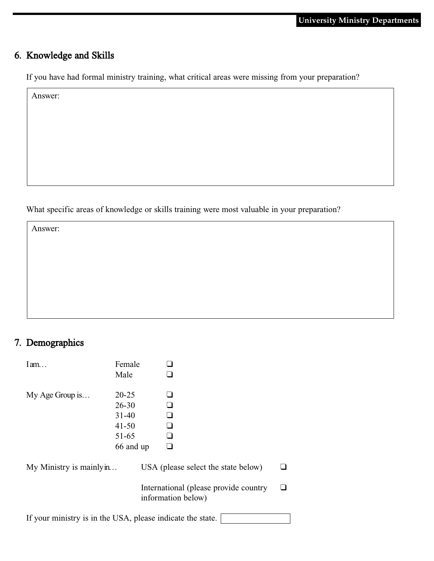# 6. Knowledge and Skills

If you have had formal ministry training, what critical areas were missing from your preparation?

Answer:

What specific areas of knowledge or skills training were most valuable in your preparation?

Answer:

# 7. Demographics

| $I$ am                   | Female<br>Male                                                             |                                                           |                                       |  |
|--------------------------|----------------------------------------------------------------------------|-----------------------------------------------------------|---------------------------------------|--|
| $My Age$ Group is        | $20 - 25$<br>$26 - 30$<br>$31 - 40$<br>$41 - 50$<br>$51 - 65$<br>66 and up | - 1<br>∣ 1<br>∣ 1                                         |                                       |  |
| My Ministry is mainly in |                                                                            | USA (please select the state below)<br>information below) | International (please provide country |  |
|                          |                                                                            |                                                           |                                       |  |

If your ministry is in the USA, please indicate the state.